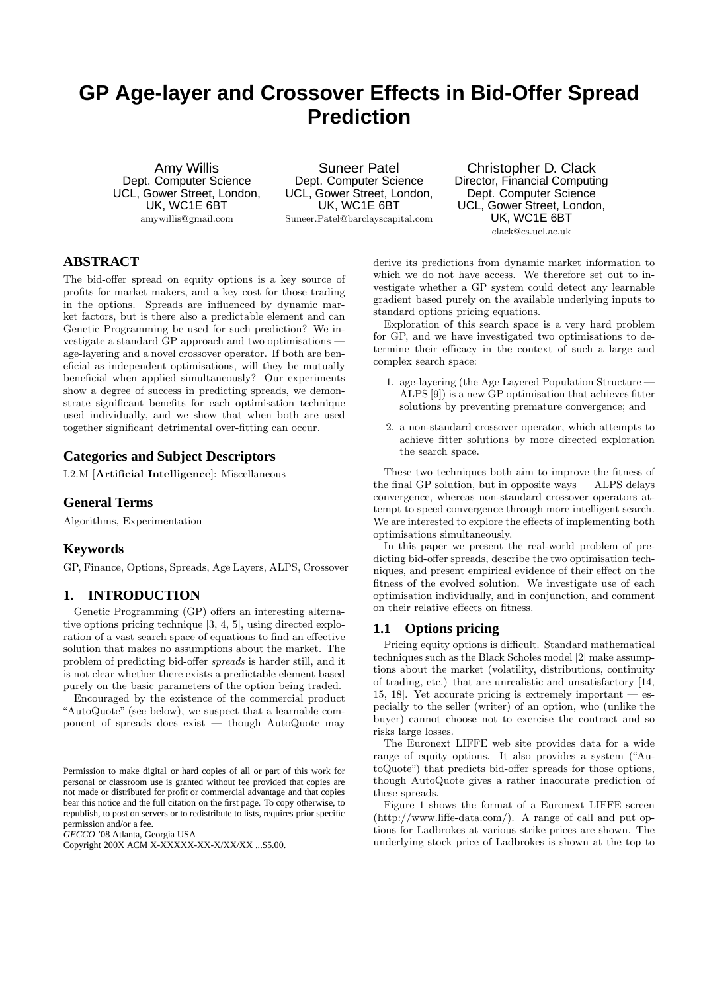# **GP Age-layer and Crossover Effects in Bid-Offer Spread Prediction**

Amy Willis Dept. Computer Science UCL, Gower Street, London, UK, WC1E 6BT amywillis@gmail.com

Suneer Patel Dept. Computer Science UCL, Gower Street, London, UK, WC1E 6BT Suneer.Patel@barclayscapital.com

Christopher D. Clack Director, Financial Computing Dept. Computer Science UCL, Gower Street, London, UK, WC1E 6BT clack@cs.ucl.ac.uk

# **ABSTRACT**

The bid-offer spread on equity options is a key source of profits for market makers, and a key cost for those trading in the options. Spreads are influenced by dynamic market factors, but is there also a predictable element and can Genetic Programming be used for such prediction? We investigate a standard GP approach and two optimisations age-layering and a novel crossover operator. If both are beneficial as independent optimisations, will they be mutually beneficial when applied simultaneously? Our experiments show a degree of success in predicting spreads, we demonstrate significant benefits for each optimisation technique used individually, and we show that when both are used together significant detrimental over-fitting can occur.

## **Categories and Subject Descriptors**

I.2.M [Artificial Intelligence]: Miscellaneous

# **General Terms**

Algorithms, Experimentation

## **Keywords**

GP, Finance, Options, Spreads, Age Layers, ALPS, Crossover

## **1. INTRODUCTION**

Genetic Programming (GP) offers an interesting alternative options pricing technique [3, 4, 5], using directed exploration of a vast search space of equations to find an effective solution that makes no assumptions about the market. The problem of predicting bid-offer spreads is harder still, and it is not clear whether there exists a predictable element based purely on the basic parameters of the option being traded.

Encouraged by the existence of the commercial product "AutoQuote" (see below), we suspect that a learnable component of spreads does exist — though AutoQuote may

*GECCO* '08 Atlanta, Georgia USA

derive its predictions from dynamic market information to which we do not have access. We therefore set out to investigate whether a GP system could detect any learnable gradient based purely on the available underlying inputs to standard options pricing equations.

Exploration of this search space is a very hard problem for GP, and we have investigated two optimisations to determine their efficacy in the context of such a large and complex search space:

- 1. age-layering (the Age Layered Population Structure ALPS [9]) is a new GP optimisation that achieves fitter solutions by preventing premature convergence; and
- 2. a non-standard crossover operator, which attempts to achieve fitter solutions by more directed exploration the search space.

These two techniques both aim to improve the fitness of the final GP solution, but in opposite ways — ALPS delays convergence, whereas non-standard crossover operators attempt to speed convergence through more intelligent search. We are interested to explore the effects of implementing both optimisations simultaneously.

In this paper we present the real-world problem of predicting bid-offer spreads, describe the two optimisation techniques, and present empirical evidence of their effect on the fitness of the evolved solution. We investigate use of each optimisation individually, and in conjunction, and comment on their relative effects on fitness.

#### **1.1 Options pricing**

Pricing equity options is difficult. Standard mathematical techniques such as the Black Scholes model [2] make assumptions about the market (volatility, distributions, continuity of trading, etc.) that are unrealistic and unsatisfactory [14, 15, 18]. Yet accurate pricing is extremely important — especially to the seller (writer) of an option, who (unlike the buyer) cannot choose not to exercise the contract and so risks large losses.

The Euronext LIFFE web site provides data for a wide range of equity options. It also provides a system ("AutoQuote") that predicts bid-offer spreads for those options, though AutoQuote gives a rather inaccurate prediction of these spreads.

Figure 1 shows the format of a Euronext LIFFE screen (http://www.liffe-data.com/). A range of call and put options for Ladbrokes at various strike prices are shown. The underlying stock price of Ladbrokes is shown at the top to

Permission to make digital or hard copies of all or part of this work for personal or classroom use is granted without fee provided that copies are not made or distributed for profit or commercial advantage and that copies bear this notice and the full citation on the first page. To copy otherwise, to republish, to post on servers or to redistribute to lists, requires prior specific permission and/or a fee.

Copyright 200X ACM X-XXXXX-XX-X/XX/XX ...\$5.00.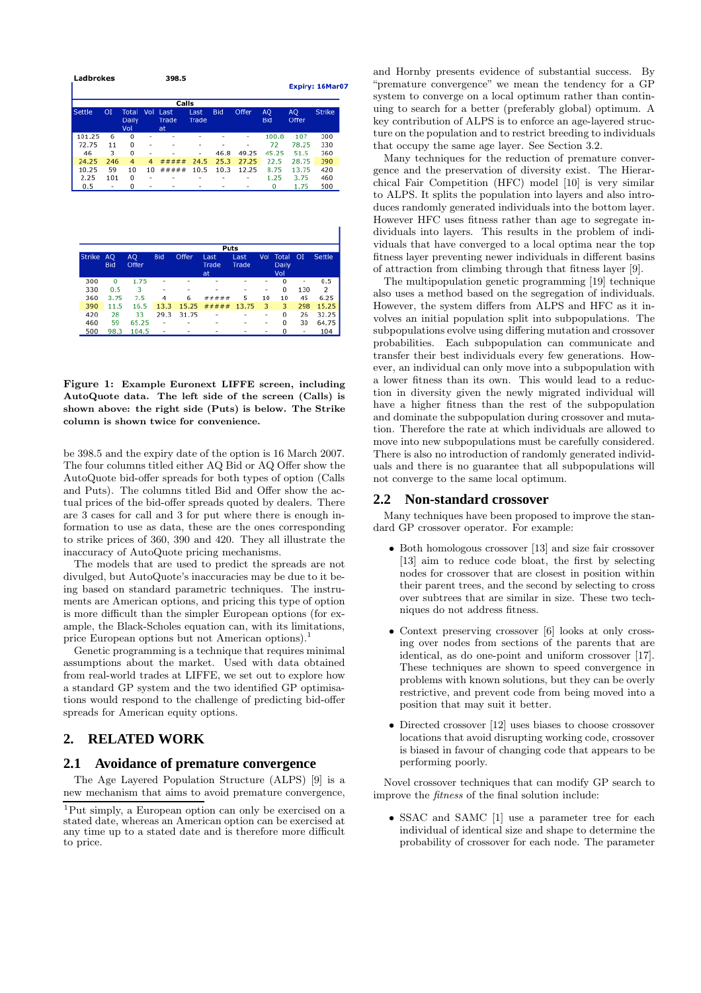| Ladbrokes |                |                       |        | 398.5                   |                          |                |        |                  |              | Expiry: 16Mar07 |
|-----------|----------------|-----------------------|--------|-------------------------|--------------------------|----------------|--------|------------------|--------------|-----------------|
|           |                |                       |        | Calls                   |                          |                |        |                  |              |                 |
| Settle    | O <sub>I</sub> | Total<br>Daily<br>Vol |        | Vol Last<br>Trade<br>at | Last<br>Trade            | Bid            | Offer  | AQ<br><b>Bid</b> | AQ.<br>Offer | <b>Strike</b>   |
| 101.25    | 6              | 0                     | ۰      | ٠                       | $\equiv$                 | $\overline{a}$ | $\sim$ | 100.8            | 107          | 300             |
| 72.75     | 11             | 0                     | $\sim$ | $\overline{a}$          | $\overline{\phantom{a}}$ | $\overline{a}$ | $\sim$ | 72               | 78.25        | 330             |
| 46        | 3              | 0                     | $\sim$ | ×                       | ٠                        | 46.8           | 49.25  | 45.25            | 51.5         | 360             |
| 24.25     | 246            | 4                     | 4      | ####                    | 24.5                     | 25.3           | 27.25  | 22.5             | 28.75        | 390             |
| 10.25     | 59             | 10                    | 10     | *****                   | 10.5                     | 10.3           | 12.25  | 8.75             | 13.75        | 420             |
| 2.25      | 101            | 0                     | $\sim$ | ٠                       | $\sim$                   | $\sim$         | $\sim$ | 1.25             | 3.75         | 460             |
| 0.5       | $\sim$         | 0                     | $\sim$ | ٠                       | $\,$                     | $\sim$         | $\sim$ | 0                | 1.75         | 500             |

|               |                  |             |                          |                          | Puts                     |                          |                          |                              |                          |        |
|---------------|------------------|-------------|--------------------------|--------------------------|--------------------------|--------------------------|--------------------------|------------------------------|--------------------------|--------|
| <b>Strike</b> | AQ<br><b>Bid</b> | AQ<br>Offer | <b>Bid</b>               | Offer                    | Last<br>Trade<br>at      | Last<br><b>Trade</b>     | Vol                      | <b>Total</b><br>Daily<br>Vol | O <sub>I</sub>           | Settle |
| 300           | 0                | 1.75        | $\overline{\phantom{a}}$ | ۰                        | $\overline{\phantom{a}}$ | $\overline{\phantom{a}}$ | $\overline{\phantom{a}}$ | 0                            | $\overline{\phantom{a}}$ | 0.5    |
| 330           | 0.5              | з           | $\overline{\phantom{a}}$ | $\overline{\phantom{a}}$ | $\overline{\phantom{a}}$ | ۰                        | ۰                        | 0                            | 130                      | 2      |
| 360           | 3.75             | 7.5         | 4                        | 6                        | *****                    | 5                        | 10                       | 10                           | 45                       | 6.25   |
| 390           | 11.5             | 16.5        | 13.3                     | 15.25                    | *****                    | 13.75                    | 3                        | 3                            | 298                      | 15.25  |
| 420           | 28               | 33          | 29.3                     | 31.75                    | $\overline{\phantom{a}}$ | $\overline{\phantom{a}}$ | ۰                        | 0                            | 26                       | 32.25  |
| 460           | 59               | 65.25       | $\overline{\phantom{a}}$ | $\overline{\phantom{a}}$ | $\overline{\phantom{a}}$ | $\overline{\phantom{a}}$ | $\overline{\phantom{a}}$ | 0                            | 30                       | 64.75  |
| 500           | 98.3             | 104.5       | $\sim$                   | ۰                        | $\overline{\phantom{a}}$ | $\overline{\phantom{a}}$ | ۰                        | 0                            | $\blacksquare$           | 104    |

Figure 1: Example Euronext LIFFE screen, including AutoQuote data. The left side of the screen (Calls) is shown above: the right side (Puts) is below. The Strike column is shown twice for convenience.

be 398.5 and the expiry date of the option is 16 March 2007. The four columns titled either AQ Bid or AQ Offer show the AutoQuote bid-offer spreads for both types of option (Calls and Puts). The columns titled Bid and Offer show the actual prices of the bid-offer spreads quoted by dealers. There are 3 cases for call and 3 for put where there is enough information to use as data, these are the ones corresponding to strike prices of 360, 390 and 420. They all illustrate the inaccuracy of AutoQuote pricing mechanisms.

The models that are used to predict the spreads are not divulged, but AutoQuote's inaccuracies may be due to it being based on standard parametric techniques. The instruments are American options, and pricing this type of option is more difficult than the simpler European options (for example, the Black-Scholes equation can, with its limitations, price European options but not American options).<sup>1</sup>

Genetic programming is a technique that requires minimal assumptions about the market. Used with data obtained from real-world trades at LIFFE, we set out to explore how a standard GP system and the two identified GP optimisations would respond to the challenge of predicting bid-offer spreads for American equity options.

## **2. RELATED WORK**

#### **2.1 Avoidance of premature convergence**

The Age Layered Population Structure (ALPS) [9] is a new mechanism that aims to avoid premature convergence,

and Hornby presents evidence of substantial success. By "premature convergence" we mean the tendency for a GP system to converge on a local optimum rather than continuing to search for a better (preferably global) optimum. A key contribution of ALPS is to enforce an age-layered structure on the population and to restrict breeding to individuals that occupy the same age layer. See Section 3.2.

Many techniques for the reduction of premature convergence and the preservation of diversity exist. The Hierarchical Fair Competition (HFC) model [10] is very similar to ALPS. It splits the population into layers and also introduces randomly generated individuals into the bottom layer. However HFC uses fitness rather than age to segregate individuals into layers. This results in the problem of individuals that have converged to a local optima near the top fitness layer preventing newer individuals in different basins of attraction from climbing through that fitness layer [9].

The multipopulation genetic programming [19] technique also uses a method based on the segregation of individuals. However, the system differs from ALPS and HFC as it involves an initial population split into subpopulations. The subpopulations evolve using differing mutation and crossover probabilities. Each subpopulation can communicate and transfer their best individuals every few generations. However, an individual can only move into a subpopulation with a lower fitness than its own. This would lead to a reduction in diversity given the newly migrated individual will have a higher fitness than the rest of the subpopulation and dominate the subpopulation during crossover and mutation. Therefore the rate at which individuals are allowed to move into new subpopulations must be carefully considered. There is also no introduction of randomly generated individuals and there is no guarantee that all subpopulations will not converge to the same local optimum.

#### **2.2 Non-standard crossover**

Many techniques have been proposed to improve the standard GP crossover operator. For example:

- Both homologous crossover [13] and size fair crossover [13] aim to reduce code bloat, the first by selecting nodes for crossover that are closest in position within their parent trees, and the second by selecting to cross over subtrees that are similar in size. These two techniques do not address fitness.
- Context preserving crossover [6] looks at only crossing over nodes from sections of the parents that are identical, as do one-point and uniform crossover [17]. These techniques are shown to speed convergence in problems with known solutions, but they can be overly restrictive, and prevent code from being moved into a position that may suit it better.
- Directed crossover [12] uses biases to choose crossover locations that avoid disrupting working code, crossover is biased in favour of changing code that appears to be performing poorly.

Novel crossover techniques that can modify GP search to improve the fitness of the final solution include:

• SSAC and SAMC [1] use a parameter tree for each individual of identical size and shape to determine the probability of crossover for each node. The parameter

<sup>1</sup>Put simply, a European option can only be exercised on a stated date, whereas an American option can be exercised at any time up to a stated date and is therefore more difficult to price.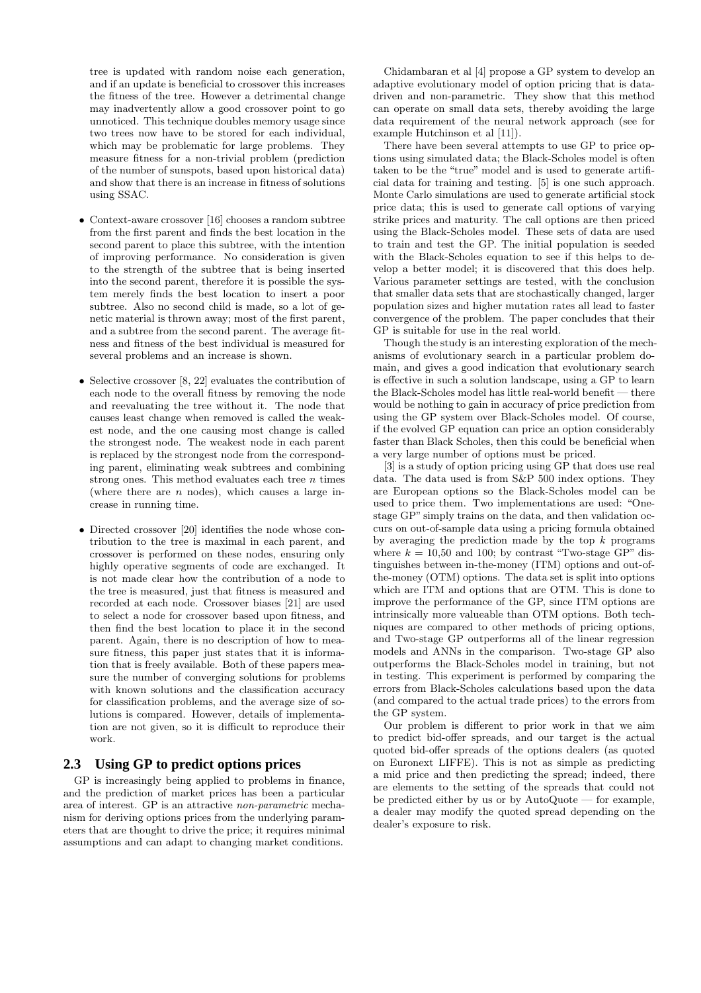tree is updated with random noise each generation, and if an update is beneficial to crossover this increases the fitness of the tree. However a detrimental change may inadvertently allow a good crossover point to go unnoticed. This technique doubles memory usage since two trees now have to be stored for each individual, which may be problematic for large problems. They measure fitness for a non-trivial problem (prediction of the number of sunspots, based upon historical data) and show that there is an increase in fitness of solutions using SSAC.

- Context-aware crossover [16] chooses a random subtree from the first parent and finds the best location in the second parent to place this subtree, with the intention of improving performance. No consideration is given to the strength of the subtree that is being inserted into the second parent, therefore it is possible the system merely finds the best location to insert a poor subtree. Also no second child is made, so a lot of genetic material is thrown away; most of the first parent, and a subtree from the second parent. The average fitness and fitness of the best individual is measured for several problems and an increase is shown.
- Selective crossover [8, 22] evaluates the contribution of each node to the overall fitness by removing the node and reevaluating the tree without it. The node that causes least change when removed is called the weakest node, and the one causing most change is called the strongest node. The weakest node in each parent is replaced by the strongest node from the corresponding parent, eliminating weak subtrees and combining strong ones. This method evaluates each tree  $n$  times (where there are  $n$  nodes), which causes a large increase in running time.
- Directed crossover [20] identifies the node whose contribution to the tree is maximal in each parent, and crossover is performed on these nodes, ensuring only highly operative segments of code are exchanged. It is not made clear how the contribution of a node to the tree is measured, just that fitness is measured and recorded at each node. Crossover biases [21] are used to select a node for crossover based upon fitness, and then find the best location to place it in the second parent. Again, there is no description of how to measure fitness, this paper just states that it is information that is freely available. Both of these papers measure the number of converging solutions for problems with known solutions and the classification accuracy for classification problems, and the average size of solutions is compared. However, details of implementation are not given, so it is difficult to reproduce their work.

## **2.3 Using GP to predict options prices**

GP is increasingly being applied to problems in finance, and the prediction of market prices has been a particular area of interest. GP is an attractive non-parametric mechanism for deriving options prices from the underlying parameters that are thought to drive the price; it requires minimal assumptions and can adapt to changing market conditions.

Chidambaran et al [4] propose a GP system to develop an adaptive evolutionary model of option pricing that is datadriven and non-parametric. They show that this method can operate on small data sets, thereby avoiding the large data requirement of the neural network approach (see for example Hutchinson et al [11]).

There have been several attempts to use GP to price options using simulated data; the Black-Scholes model is often taken to be the "true" model and is used to generate artificial data for training and testing. [5] is one such approach. Monte Carlo simulations are used to generate artificial stock price data; this is used to generate call options of varying strike prices and maturity. The call options are then priced using the Black-Scholes model. These sets of data are used to train and test the GP. The initial population is seeded with the Black-Scholes equation to see if this helps to develop a better model; it is discovered that this does help. Various parameter settings are tested, with the conclusion that smaller data sets that are stochastically changed, larger population sizes and higher mutation rates all lead to faster convergence of the problem. The paper concludes that their GP is suitable for use in the real world.

Though the study is an interesting exploration of the mechanisms of evolutionary search in a particular problem domain, and gives a good indication that evolutionary search is effective in such a solution landscape, using a GP to learn the Black-Scholes model has little real-world benefit — there would be nothing to gain in accuracy of price prediction from using the GP system over Black-Scholes model. Of course, if the evolved GP equation can price an option considerably faster than Black Scholes, then this could be beneficial when a very large number of options must be priced.

[3] is a study of option pricing using GP that does use real data. The data used is from S&P 500 index options. They are European options so the Black-Scholes model can be used to price them. Two implementations are used: "Onestage GP" simply trains on the data, and then validation occurs on out-of-sample data using a pricing formula obtained by averaging the prediction made by the top  $k$  programs where  $k = 10,50$  and 100; by contrast "Two-stage GP" distinguishes between in-the-money (ITM) options and out-ofthe-money (OTM) options. The data set is split into options which are ITM and options that are OTM. This is done to improve the performance of the GP, since ITM options are intrinsically more valueable than OTM options. Both techniques are compared to other methods of pricing options, and Two-stage GP outperforms all of the linear regression models and ANNs in the comparison. Two-stage GP also outperforms the Black-Scholes model in training, but not in testing. This experiment is performed by comparing the errors from Black-Scholes calculations based upon the data (and compared to the actual trade prices) to the errors from the GP system.

Our problem is different to prior work in that we aim to predict bid-offer spreads, and our target is the actual quoted bid-offer spreads of the options dealers (as quoted on Euronext LIFFE). This is not as simple as predicting a mid price and then predicting the spread; indeed, there are elements to the setting of the spreads that could not be predicted either by us or by AutoQuote — for example, a dealer may modify the quoted spread depending on the dealer's exposure to risk.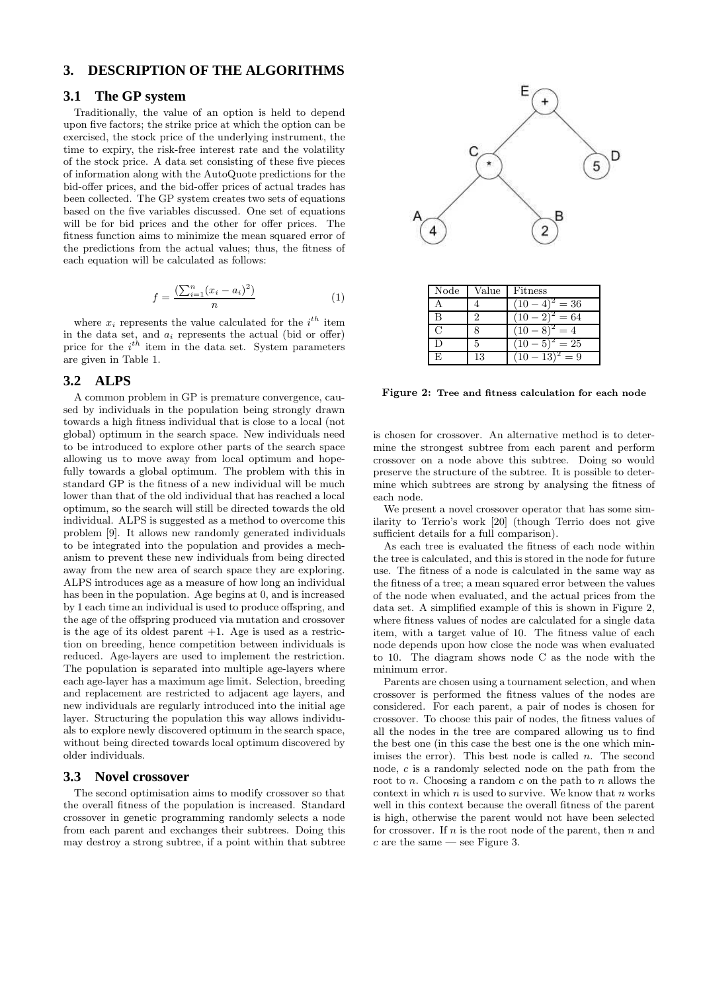# **3. DESCRIPTION OF THE ALGORITHMS**

#### **3.1 The GP system**

Traditionally, the value of an option is held to depend upon five factors; the strike price at which the option can be exercised, the stock price of the underlying instrument, the time to expiry, the risk-free interest rate and the volatility of the stock price. A data set consisting of these five pieces of information along with the AutoQuote predictions for the bid-offer prices, and the bid-offer prices of actual trades has been collected. The GP system creates two sets of equations based on the five variables discussed. One set of equations will be for bid prices and the other for offer prices. The fitness function aims to minimize the mean squared error of the predictions from the actual values; thus, the fitness of each equation will be calculated as follows:

$$
f = \frac{\left(\sum_{i=1}^{n} (x_i - a_i)^2\right)}{n} \tag{1}
$$

where  $x_i$  represents the value calculated for the  $i^{th}$  item in the data set, and  $a_i$  represents the actual (bid or offer) price for the  $i^{th}$  item in the data set. System parameters are given in Table 1.

#### **3.2 ALPS**

A common problem in GP is premature convergence, caused by individuals in the population being strongly drawn towards a high fitness individual that is close to a local (not global) optimum in the search space. New individuals need to be introduced to explore other parts of the search space allowing us to move away from local optimum and hopefully towards a global optimum. The problem with this in standard GP is the fitness of a new individual will be much lower than that of the old individual that has reached a local optimum, so the search will still be directed towards the old individual. ALPS is suggested as a method to overcome this problem [9]. It allows new randomly generated individuals to be integrated into the population and provides a mechanism to prevent these new individuals from being directed away from the new area of search space they are exploring. ALPS introduces age as a measure of how long an individual has been in the population. Age begins at 0, and is increased by 1 each time an individual is used to produce offspring, and the age of the offspring produced via mutation and crossover is the age of its oldest parent  $+1$ . Age is used as a restriction on breeding, hence competition between individuals is reduced. Age-layers are used to implement the restriction. The population is separated into multiple age-layers where each age-layer has a maximum age limit. Selection, breeding and replacement are restricted to adjacent age layers, and new individuals are regularly introduced into the initial age layer. Structuring the population this way allows individuals to explore newly discovered optimum in the search space, without being directed towards local optimum discovered by older individuals.

#### **3.3 Novel crossover**

The second optimisation aims to modify crossover so that the overall fitness of the population is increased. Standard crossover in genetic programming randomly selects a node from each parent and exchanges their subtrees. Doing this may destroy a strong subtree, if a point within that subtree



| Node   | Value | Fitness                |
|--------|-------|------------------------|
|        |       | $^{2} = 36$<br>10      |
| B      | 9     | $(10 - 2)$<br>$=64$    |
| $\cap$ |       | (10)<br>$=4$           |
| Ľ      | 5     | $=25$<br>$^{\prime}10$ |
| F,     | 13    | $10 - 13$<br>$= 9$     |

Figure 2: Tree and fitness calculation for each node

is chosen for crossover. An alternative method is to determine the strongest subtree from each parent and perform crossover on a node above this subtree. Doing so would preserve the structure of the subtree. It is possible to determine which subtrees are strong by analysing the fitness of each node.

We present a novel crossover operator that has some similarity to Terrio's work [20] (though Terrio does not give sufficient details for a full comparison).

As each tree is evaluated the fitness of each node within the tree is calculated, and this is stored in the node for future use. The fitness of a node is calculated in the same way as the fitness of a tree; a mean squared error between the values of the node when evaluated, and the actual prices from the data set. A simplified example of this is shown in Figure 2, where fitness values of nodes are calculated for a single data item, with a target value of 10. The fitness value of each node depends upon how close the node was when evaluated to 10. The diagram shows node C as the node with the minimum error.

Parents are chosen using a tournament selection, and when crossover is performed the fitness values of the nodes are considered. For each parent, a pair of nodes is chosen for crossover. To choose this pair of nodes, the fitness values of all the nodes in the tree are compared allowing us to find the best one (in this case the best one is the one which minimises the error). This best node is called  $n$ . The second node, c is a randomly selected node on the path from the root to  $n$ . Choosing a random  $c$  on the path to  $n$  allows the context in which  $n$  is used to survive. We know that  $n$  works well in this context because the overall fitness of the parent is high, otherwise the parent would not have been selected for crossover. If  $n$  is the root node of the parent, then  $n$  and  $c$  are the same — see Figure 3.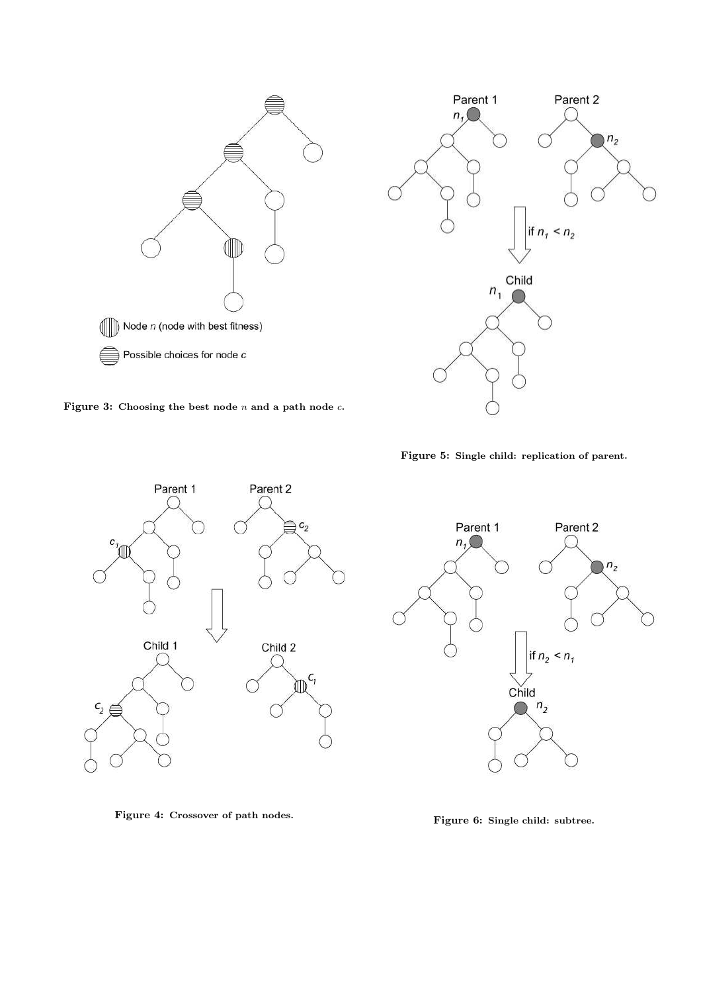





Figure 5: Single child: replication of parent.



Figure 4: Crossover of path nodes.



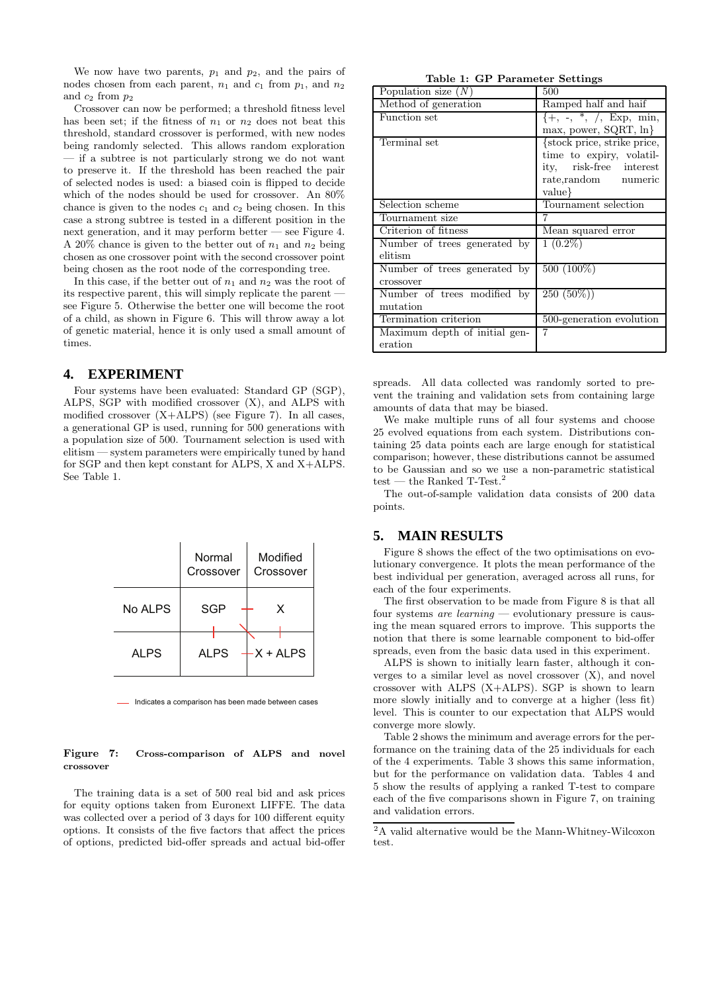We now have two parents,  $p_1$  and  $p_2$ , and the pairs of nodes chosen from each parent,  $n_1$  and  $c_1$  from  $p_1$ , and  $n_2$ and  $c_2$  from  $p_2$ 

Crossover can now be performed; a threshold fitness level has been set; if the fitness of  $n_1$  or  $n_2$  does not beat this threshold, standard crossover is performed, with new nodes being randomly selected. This allows random exploration — if a subtree is not particularly strong we do not want to preserve it. If the threshold has been reached the pair of selected nodes is used: a biased coin is flipped to decide which of the nodes should be used for crossover. An 80% chance is given to the nodes  $c_1$  and  $c_2$  being chosen. In this case a strong subtree is tested in a different position in the next generation, and it may perform better — see Figure 4. A 20% chance is given to the better out of  $n_1$  and  $n_2$  being chosen as one crossover point with the second crossover point being chosen as the root node of the corresponding tree.

In this case, if the better out of  $n_1$  and  $n_2$  was the root of its respective parent, this will simply replicate the parent see Figure 5. Otherwise the better one will become the root of a child, as shown in Figure 6. This will throw away a lot of genetic material, hence it is only used a small amount of times.

#### **4. EXPERIMENT**

Four systems have been evaluated: Standard GP (SGP), ALPS, SGP with modified crossover (X), and ALPS with modified crossover  $(X+ALPS)$  (see Figure 7). In all cases, a generational GP is used, running for 500 generations with a population size of 500. Tournament selection is used with elitism — system parameters were empirically tuned by hand for SGP and then kept constant for ALPS, X and X+ALPS. See Table 1.

|             | Normal<br>Crossover | Modified<br>Crossover |
|-------------|---------------------|-----------------------|
| No ALPS     | SGP                 | x                     |
| <b>ALPS</b> | <b>ALPS</b>         | -X + ALPS             |

- Indicates a comparison has been made between cases

#### Figure 7: Cross-comparison of ALPS and novel crossover

The training data is a set of 500 real bid and ask prices for equity options taken from Euronext LIFFE. The data was collected over a period of 3 days for 100 different equity options. It consists of the five factors that affect the prices of options, predicted bid-offer spreads and actual bid-offer

| Table 1: GP Parameter Settings |
|--------------------------------|
|                                |

| Population size $(N)$         | 500                                                                     |
|-------------------------------|-------------------------------------------------------------------------|
| Method of generation          | Ramped half and haif                                                    |
| Function set                  | $\{+, \, \text{-}, \, \text{*}, \, /, \, \text{Exp}, \, \text{min}, \,$ |
|                               | $max$ , power, $SQRT$ , $ln$ }                                          |
| Terminal set                  | {stock price, strike price,                                             |
|                               | time to expiry, volatil-                                                |
|                               | ity, risk-free interest                                                 |
|                               | rate, random numeric                                                    |
|                               | value}                                                                  |
| Selection scheme              | Tournament selection                                                    |
| Tournament size               | 7                                                                       |
| Criterion of fitness          | Mean squared error                                                      |
| Number of trees generated by  | $\overline{1}(0.2\%)$                                                   |
| elitism                       |                                                                         |
| Number of trees generated by  | 500 (100\%)                                                             |
| crossover                     |                                                                         |
| Number of trees modified by   | $\overline{250} (50\%)$                                                 |
| mutation                      |                                                                         |
| Termination criterion         | 500-generation evolution                                                |
| Maximum depth of initial gen- | 7                                                                       |
| eration                       |                                                                         |

spreads. All data collected was randomly sorted to prevent the training and validation sets from containing large amounts of data that may be biased.

We make multiple runs of all four systems and choose 25 evolved equations from each system. Distributions containing 25 data points each are large enough for statistical comparison; however, these distributions cannot be assumed to be Gaussian and so we use a non-parametric statistical test — the Ranked T-Test. $^2$ 

The out-of-sample validation data consists of 200 data points.

## **5. MAIN RESULTS**

Figure 8 shows the effect of the two optimisations on evolutionary convergence. It plots the mean performance of the best individual per generation, averaged across all runs, for each of the four experiments.

The first observation to be made from Figure 8 is that all four systems *are learning* — evolutionary pressure is causing the mean squared errors to improve. This supports the notion that there is some learnable component to bid-offer spreads, even from the basic data used in this experiment.

ALPS is shown to initially learn faster, although it converges to a similar level as novel crossover  $(X)$ , and novel crossover with ALPS (X+ALPS). SGP is shown to learn more slowly initially and to converge at a higher (less fit) level. This is counter to our expectation that ALPS would converge more slowly.

Table 2 shows the minimum and average errors for the performance on the training data of the 25 individuals for each of the 4 experiments. Table 3 shows this same information, but for the performance on validation data. Tables 4 and 5 show the results of applying a ranked T-test to compare each of the five comparisons shown in Figure 7, on training and validation errors.

<sup>2</sup>A valid alternative would be the Mann-Whitney-Wilcoxon test.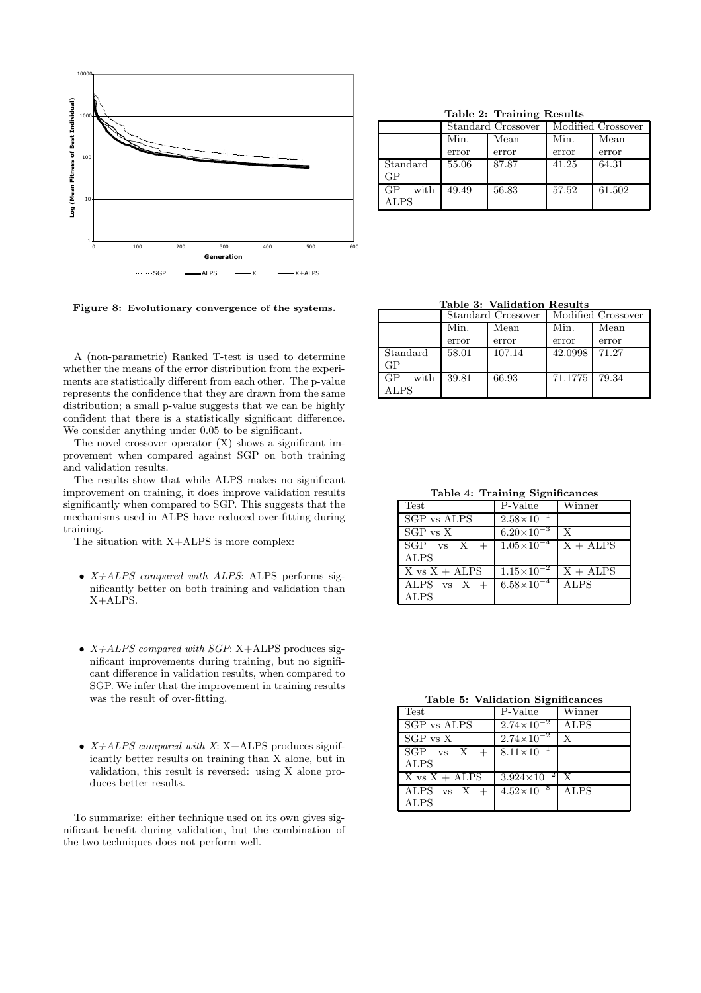

|      | Table 2: Training Results               |      |        |
|------|-----------------------------------------|------|--------|
|      | Standard Crossover   Modified Crossover |      |        |
| Min. | Mean                                    | Min. | ∣ Mean |

|                            |       | этапиаги Стоѕѕотег | мючшен стоѕѕоуег |        |  |
|----------------------------|-------|--------------------|------------------|--------|--|
|                            | Min.  | Mean               | Min.             | Mean   |  |
|                            | error | error              | error            | error  |  |
| Standard<br>GP             | 55.06 | 87.87              | 41.25            | 64.31  |  |
| GP.<br>with<br><b>ALPS</b> | 49.49 | 56.83              | 57.52            | 61.502 |  |

Figure 8: Evolutionary convergence of the systems.

A (non-parametric) Ranked T-test is used to determine whether the means of the error distribution from the experiments are statistically different from each other. The p-value represents the confidence that they are drawn from the same distribution; a small p-value suggests that we can be highly confident that there is a statistically significant difference. We consider anything under 0.05 to be significant.

The novel crossover operator  $(X)$  shows a significant improvement when compared against SGP on both training and validation results.

The results show that while ALPS makes no significant improvement on training, it does improve validation results significantly when compared to SGP. This suggests that the mechanisms used in ALPS have reduced over-fitting during training.

The situation with X+ALPS is more complex:

- X+ALPS compared with ALPS: ALPS performs significantly better on both training and validation than X+ALPS.
- $X+ALPS$  compared with SGP: X+ALPS produces significant improvements during training, but no significant difference in validation results, when compared to SGP. We infer that the improvement in training results was the result of over-fitting.
- $X+ALPS$  compared with  $X: X+ALPS$  produces significantly better results on training than X alone, but in validation, this result is reversed: using X alone produces better results.

To summarize: either technique used on its own gives significant benefit during validation, but the combination of the two techniques does not perform well.

Table 3: Validation Results

|            |       | Standard Crossover | Modified Crossover |       |  |
|------------|-------|--------------------|--------------------|-------|--|
|            | Min.  | Mean               | Min.               | Mean  |  |
|            | error | error              | error              | error |  |
| Standard   | 58.01 | 107.14             | 42.0998            | 71.27 |  |
| GP         |       |                    |                    |       |  |
| GP<br>with | 39.81 | 66.93              | 71.1775            | 79.34 |  |
| ALPS       |       |                    |                    |       |  |

Table 4: Training Significances

| Test              | P-Value               | Winner                         |
|-------------------|-----------------------|--------------------------------|
| SGP vs ALPS       | $2.58 \times 10^{-7}$ |                                |
| $SGP$ vs $X$      | $6.20\times10^{-3}$   | $\mathbf{X}$                   |
| $SGP$ vs $X +$    |                       | $1.05\times10^{-4}$   X + ALPS |
| <b>ALPS</b>       |                       |                                |
| $X$ vs $X + ALPS$ |                       | $1.15\times10^{-2}$   X + ALPS |
| ALPS vs $X +$     | $6.58\times10^{-4}$   | <b>ALPS</b>                    |
| <b>ALPS</b>       |                       |                                |

Table 5: Validation Significances

| Test                             | P-Value              | Winner       |
|----------------------------------|----------------------|--------------|
| SGP vs ALPS                      | $2.74\times10^{-2}$  | <b>ALPS</b>  |
| $SGP$ vs $X$                     | $2.74\times10^{-2}$  | $\mathbf{x}$ |
| SGP vs X + $8.11 \times 10^{-1}$ |                      |              |
| <b>ALPS</b>                      |                      |              |
| $X$ vs $X + ALPS$                | $3.924\times10^{-2}$ | $\mathbf{x}$ |
| ALPS vs $X +$                    | $4.52\times10^{-8}$  | <b>ALPS</b>  |
| <b>ALPS</b>                      |                      |              |